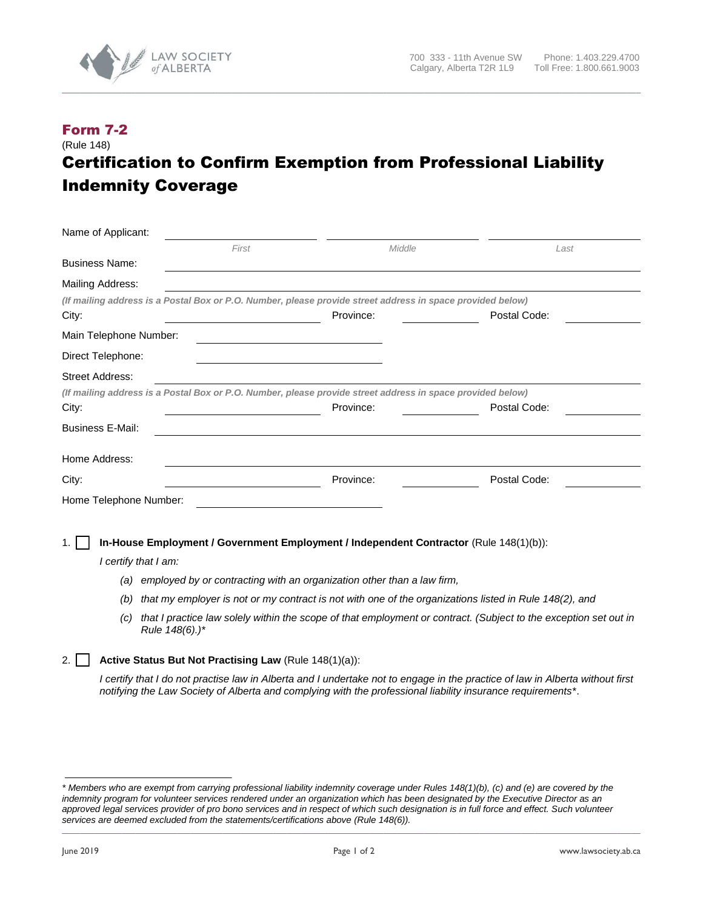

## Form 7-2 (Rule 148) Certification to Confirm Exemption from Professional Liability Indemnity Coverage

**\_\_\_\_\_\_\_\_\_\_\_\_\_\_\_\_\_\_\_\_\_\_\_\_\_\_\_\_\_\_\_\_\_\_\_\_\_\_\_\_\_\_\_\_\_\_\_\_\_\_\_\_\_\_\_\_\_\_\_\_\_\_\_\_\_\_\_\_\_\_\_\_\_\_\_\_\_\_\_\_\_\_\_\_\_\_\_\_\_\_\_\_\_\_\_\_\_\_\_\_\_\_\_\_\_\_\_\_\_\_\_\_\_\_\_\_\_\_\_\_\_\_\_\_\_\_**

| Name of Applicant:      |                                                                                                             |           |                                                                                                                               |
|-------------------------|-------------------------------------------------------------------------------------------------------------|-----------|-------------------------------------------------------------------------------------------------------------------------------|
|                         | First                                                                                                       | Middle    | Last                                                                                                                          |
| <b>Business Name:</b>   |                                                                                                             |           |                                                                                                                               |
| Mailing Address:        |                                                                                                             |           |                                                                                                                               |
|                         | (If mailing address is a Postal Box or P.O. Number, please provide street address in space provided below)  |           |                                                                                                                               |
| City:                   |                                                                                                             | Province: | Postal Code:                                                                                                                  |
| Main Telephone Number:  |                                                                                                             |           |                                                                                                                               |
| Direct Telephone:       |                                                                                                             |           |                                                                                                                               |
| <b>Street Address:</b>  |                                                                                                             |           |                                                                                                                               |
|                         | (If mailing address is a Postal Box or P.O. Number, please provide street address in space provided below)  |           |                                                                                                                               |
| City:                   |                                                                                                             | Province: | Postal Code:                                                                                                                  |
| <b>Business E-Mail:</b> |                                                                                                             |           |                                                                                                                               |
| Home Address:           |                                                                                                             |           |                                                                                                                               |
| City:                   |                                                                                                             | Province: | Postal Code:                                                                                                                  |
| Home Telephone Number:  |                                                                                                             |           |                                                                                                                               |
|                         |                                                                                                             |           |                                                                                                                               |
|                         | In-House Employment / Government Employment / Independent Contractor (Rule 148(1)(b)):                      |           |                                                                                                                               |
|                         | I certify that I am:                                                                                        |           |                                                                                                                               |
| (a)                     | employed by or contracting with an organization other than a law firm,                                      |           |                                                                                                                               |
| (b)                     | that my employer is not or my contract is not with one of the organizations listed in Rule 148(2), and      |           |                                                                                                                               |
| (c)                     | Rule 148(6).)*                                                                                              |           | that I practice law solely within the scope of that employment or contract. (Subject to the exception set out in              |
| 2.                      | Active Status But Not Practising Law (Rule 148(1)(a)):                                                      |           |                                                                                                                               |
|                         | notifying the Law Society of Alberta and complying with the professional liability insurance requirements*. |           | I certify that I do not practise law in Alberta and I undertake not to engage in the practice of law in Alberta without first |

*<sup>\*</sup> Members who are exempt from carrying professional liability indemnity coverage under Rules 148(1)(b), (c) and (e) are covered by the indemnity program for volunteer services rendered under an organization which has been designated by the Executive Director as an approved legal services provider of pro bono services and in respect of which such designation is in full force and effect. Such volunteer services are deemed excluded from the statements/certifications above (Rule 148(6)).* **\_\_\_\_\_\_\_\_\_\_\_\_\_\_\_\_\_\_\_\_\_\_\_\_\_\_\_\_\_\_\_\_\_\_\_\_\_\_\_\_\_\_\_\_\_\_\_\_\_\_\_\_\_\_\_\_\_\_\_\_\_\_\_\_\_\_\_\_\_\_\_\_\_\_\_\_\_\_\_\_\_\_\_\_\_\_\_\_\_\_\_\_\_\_\_\_\_\_\_\_\_\_\_\_\_\_\_\_\_\_\_\_\_\_\_\_\_\_\_\_\_\_\_\_\_\_**